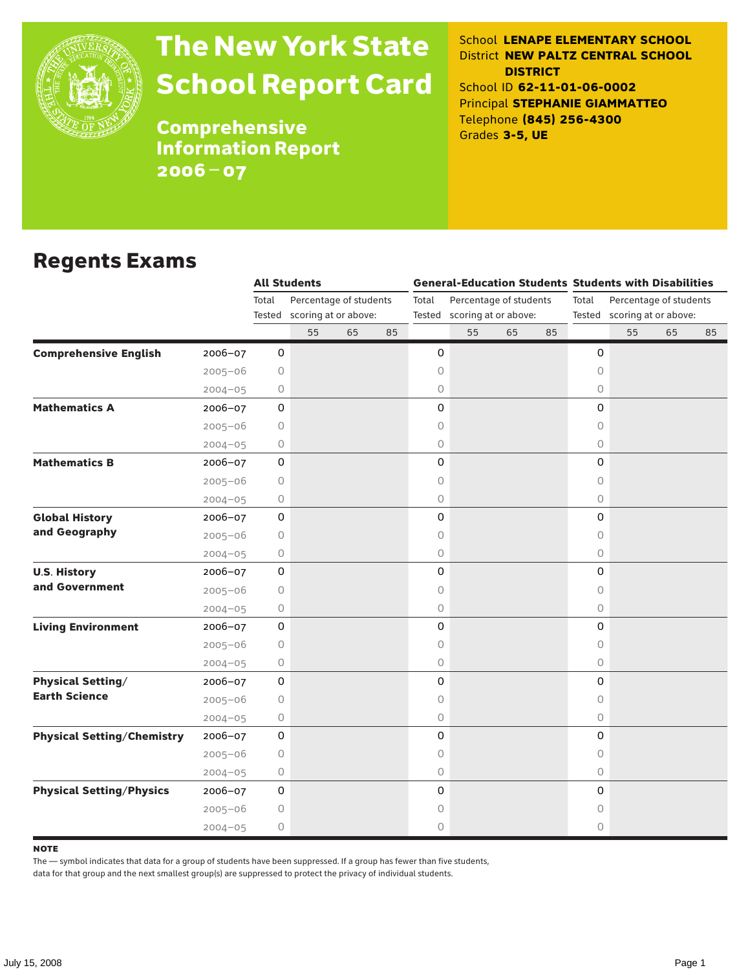

# The New York State School Report Card

School **LENAPE ELEMENTARY SCHOOL** District **NEW PALTZ CENTRAL SCHOOL DISTRICT** School ID **62-11-01-06-0002** Principal **STEPHANIE GIAMMATTEO** Telephone **(845) 256-4300** Grades **3-5, UE**

**Comprehensive** Information Report 2006–07

### Regents Exams

|                                                  |                     | <b>All Students</b>         |    |    |                             |                        |    |    | <b>General-Education Students Students with Disabilities</b> |                        |    |    |  |
|--------------------------------------------------|---------------------|-----------------------------|----|----|-----------------------------|------------------------|----|----|--------------------------------------------------------------|------------------------|----|----|--|
|                                                  | Total               | Percentage of students      |    |    | Total                       | Percentage of students |    |    | Total                                                        | Percentage of students |    |    |  |
|                                                  |                     | Tested scoring at or above: |    |    | Tested scoring at or above: |                        |    |    | Tested scoring at or above:                                  |                        |    |    |  |
|                                                  |                     | 55                          | 65 | 85 |                             | 55                     | 65 | 85 |                                                              | 55                     | 65 | 85 |  |
| <b>Comprehensive English</b><br>$2006 - 07$      | 0                   |                             |    |    | 0                           |                        |    |    | 0                                                            |                        |    |    |  |
| $2005 - 06$                                      | 0                   |                             |    |    | 0                           |                        |    |    | $\Omega$                                                     |                        |    |    |  |
| $2004 - 05$                                      | 0                   |                             |    |    | 0                           |                        |    |    | 0                                                            |                        |    |    |  |
| <b>Mathematics A</b><br>$2006 - 07$              | $\mathsf{O}\xspace$ |                             |    |    | 0                           |                        |    |    | 0                                                            |                        |    |    |  |
| $2005 - 06$                                      | 0                   |                             |    |    | 0                           |                        |    |    | $\Omega$                                                     |                        |    |    |  |
| $2004 - 05$                                      | 0                   |                             |    |    | 0                           |                        |    |    | 0                                                            |                        |    |    |  |
| <b>Mathematics B</b><br>2006-07                  | $\mathsf{O}\xspace$ |                             |    |    | 0                           |                        |    |    | 0                                                            |                        |    |    |  |
| $2005 - 06$                                      | 0                   |                             |    |    | 0                           |                        |    |    | $\circ$                                                      |                        |    |    |  |
| $2004 - 05$                                      | 0                   |                             |    |    | 0                           |                        |    |    | $\circ$                                                      |                        |    |    |  |
| <b>Global History</b><br>2006-07                 | 0                   |                             |    |    | 0                           |                        |    |    | 0                                                            |                        |    |    |  |
| and Geography<br>$2005 - 06$                     | 0                   |                             |    |    | 0                           |                        |    |    | $\Omega$                                                     |                        |    |    |  |
| $2004 - 05$                                      | 0                   |                             |    |    | 0                           |                        |    |    | $\circ$                                                      |                        |    |    |  |
| <b>U.S. History</b><br>2006-07                   | $\mathsf{O}\xspace$ |                             |    |    | 0                           |                        |    |    | 0                                                            |                        |    |    |  |
| and Government<br>$2005 - 06$                    | 0                   |                             |    |    | 0                           |                        |    |    | $\Omega$                                                     |                        |    |    |  |
| $2004 - 05$                                      | 0                   |                             |    |    | 0                           |                        |    |    | $\circ$                                                      |                        |    |    |  |
| <b>Living Environment</b><br>2006-07             | $\mathsf{O}\xspace$ |                             |    |    | 0                           |                        |    |    | 0                                                            |                        |    |    |  |
| $2005 - 06$                                      | 0                   |                             |    |    | 0                           |                        |    |    | $\Omega$                                                     |                        |    |    |  |
| $2004 - 05$                                      | 0                   |                             |    |    | 0                           |                        |    |    | $\circ$                                                      |                        |    |    |  |
| <b>Physical Setting/</b><br>2006-07              | $\mathsf{O}\xspace$ |                             |    |    | 0                           |                        |    |    | 0                                                            |                        |    |    |  |
| <b>Earth Science</b><br>$2005 - 06$              | 0                   |                             |    |    | 0                           |                        |    |    | $\Omega$                                                     |                        |    |    |  |
| $2004 - 05$                                      | 0                   |                             |    |    | 0                           |                        |    |    | $\circ$                                                      |                        |    |    |  |
| <b>Physical Setting/Chemistry</b><br>$2006 - 07$ | $\mathbf 0$         |                             |    |    | 0                           |                        |    |    | 0                                                            |                        |    |    |  |
| $2005 - 06$                                      | 0                   |                             |    |    | 0                           |                        |    |    | $\circ$                                                      |                        |    |    |  |
| $2004 - 05$                                      | 0                   |                             |    |    | 0                           |                        |    |    | $\circ$                                                      |                        |    |    |  |
| <b>Physical Setting/Physics</b><br>$2006 - 07$   | $\mathsf{O}\xspace$ |                             |    |    | 0                           |                        |    |    | $\mathbf 0$                                                  |                        |    |    |  |
| $2005 - 06$                                      | 0                   |                             |    |    | 0                           |                        |    |    | $\circ$                                                      |                        |    |    |  |
| $2004 - 05$                                      | 0                   |                             |    |    | 0                           |                        |    |    | 0                                                            |                        |    |    |  |

#### **NOTE**

The — symbol indicates that data for a group of students have been suppressed. If a group has fewer than five students,

data for that group and the next smallest group(s) are suppressed to protect the privacy of individual students.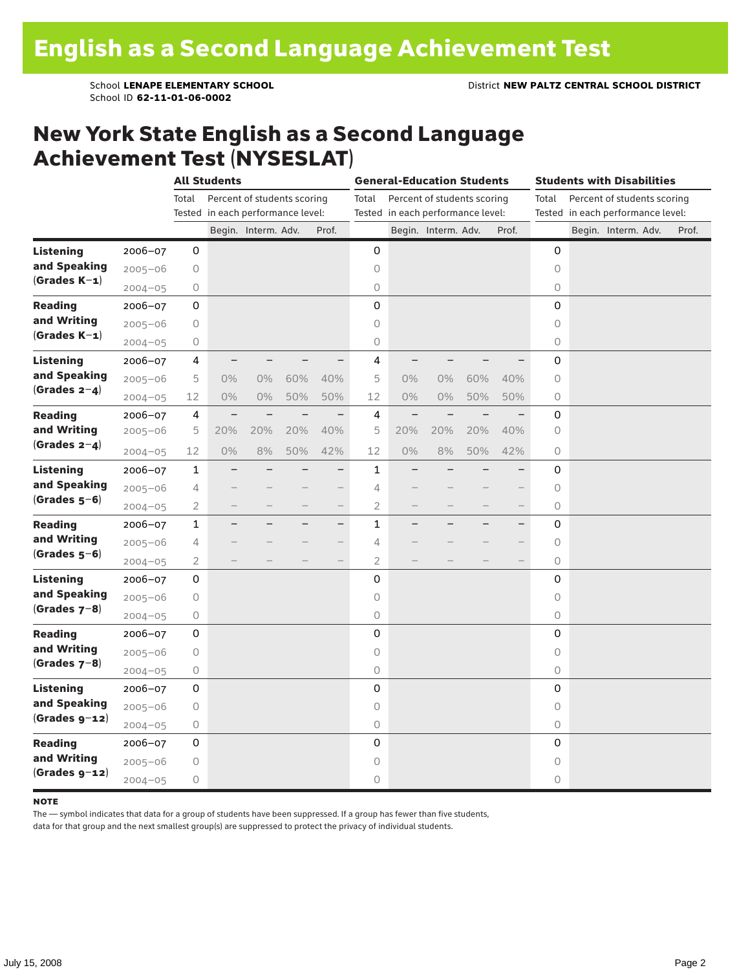School ID **62-11-01-06-0002**

### New York State English as a Second Language Achievement Test (NYSESLAT)

|                  |             | <b>All Students</b> |                                   |                             |     | <b>General-Education Students</b> |                |                                   |                             |     | <b>Students with Disabilities</b> |             |                                   |                             |       |
|------------------|-------------|---------------------|-----------------------------------|-----------------------------|-----|-----------------------------------|----------------|-----------------------------------|-----------------------------|-----|-----------------------------------|-------------|-----------------------------------|-----------------------------|-------|
|                  |             | Total               |                                   | Percent of students scoring |     |                                   | Total          |                                   | Percent of students scoring |     |                                   | Total       |                                   | Percent of students scoring |       |
|                  |             |                     | Tested in each performance level: |                             |     |                                   |                | Tested in each performance level: |                             |     |                                   |             | Tested in each performance level: |                             |       |
|                  |             |                     |                                   | Begin. Interm. Adv.         |     | Prof.                             |                |                                   | Begin. Interm. Adv.         |     | Prof.                             |             |                                   | Begin. Interm. Adv.         | Prof. |
| <b>Listening</b> | 2006-07     | 0                   |                                   |                             |     |                                   | 0              |                                   |                             |     |                                   | 0           |                                   |                             |       |
| and Speaking     | $2005 - 06$ | 0                   |                                   |                             |     |                                   | 0              |                                   |                             |     |                                   | $\circ$     |                                   |                             |       |
| $(Grades K-1)$   | $2004 - 05$ | 0                   |                                   |                             |     |                                   | $\bigcirc$     |                                   |                             |     |                                   | 0           |                                   |                             |       |
| <b>Reading</b>   | 2006-07     | 0                   |                                   |                             |     |                                   | $\mathbf 0$    |                                   |                             |     |                                   | 0           |                                   |                             |       |
| and Writing      | $2005 - 06$ | $\bigcirc$          |                                   |                             |     |                                   | $\circ$        |                                   |                             |     |                                   | 0           |                                   |                             |       |
| $(Grades K-1)$   | $2004 - 05$ | $\circ$             |                                   |                             |     |                                   | 0              |                                   |                             |     |                                   | 0           |                                   |                             |       |
| <b>Listening</b> | 2006-07     | 4                   |                                   |                             |     |                                   | 4              |                                   |                             |     |                                   | 0           |                                   |                             |       |
| and Speaking     | $2005 - 06$ | 5                   | $0\%$                             | $0\%$                       | 60% | 40%                               | 5              | 0%                                | $0\%$                       | 60% | 40%                               | 0           |                                   |                             |       |
| $(Grades 2-4)$   | $2004 - 05$ | 12                  | $0\%$                             | 0%                          | 50% | 50%                               | 12             | 0%                                | $0\%$                       | 50% | 50%                               | 0           |                                   |                             |       |
| <b>Reading</b>   | 2006-07     | 4                   |                                   |                             |     | $\overline{\phantom{0}}$          | 4              | $\overline{\phantom{0}}$          |                             |     |                                   | 0           |                                   |                             |       |
| and Writing      | $2005 - 06$ | 5                   | 20%                               | 20%                         | 20% | 40%                               | 5              | 20%                               | 20%                         | 20% | 40%                               | 0           |                                   |                             |       |
| (Grades $2-4$ )  | $2004 - 05$ | 12                  | $0\%$                             | 8%                          | 50% | 42%                               | 12             | 0%                                | 8%                          | 50% | 42%                               | 0           |                                   |                             |       |
| <b>Listening</b> | 2006-07     | $\mathbf{1}$        |                                   |                             |     | $\overline{\phantom{0}}$          | 1              |                                   |                             |     |                                   | 0           |                                   |                             |       |
| and Speaking     | $2005 - 06$ | 4                   |                                   |                             |     | $\overline{\phantom{0}}$          | 4              |                                   |                             |     |                                   | 0           |                                   |                             |       |
| $(Grades 5-6)$   | $2004 - 05$ | $\overline{2}$      |                                   |                             |     | $\overline{\phantom{0}}$          | 2              |                                   |                             |     | $\overline{\phantom{0}}$          | 0           |                                   |                             |       |
| <b>Reading</b>   | 2006-07     | $\mathbf{1}$        |                                   |                             |     | -                                 | $\mathbf 1$    |                                   |                             |     | $\overline{\phantom{0}}$          | 0           |                                   |                             |       |
| and Writing      | $2005 - 06$ | 4                   |                                   |                             |     | $\overline{\phantom{0}}$          | 4              |                                   |                             |     | $\overline{\phantom{0}}$          | 0           |                                   |                             |       |
| $(Grades 5-6)$   | $2004 - 05$ | $\overline{2}$      |                                   |                             |     | $\overline{\phantom{0}}$          | $\overline{2}$ |                                   |                             |     | $\overline{\phantom{0}}$          | 0           |                                   |                             |       |
| Listening        | $2006 - 07$ | 0                   |                                   |                             |     |                                   | $\mathbf 0$    |                                   |                             |     |                                   | $\mathbf 0$ |                                   |                             |       |
| and Speaking     | $2005 - 06$ | $\circ$             |                                   |                             |     |                                   | $\circ$        |                                   |                             |     |                                   | $\circ$     |                                   |                             |       |
| $(Grades 7-8)$   | $2004 - 05$ | 0                   |                                   |                             |     |                                   | 0              |                                   |                             |     |                                   | 0           |                                   |                             |       |
| <b>Reading</b>   | 2006-07     | 0                   |                                   |                             |     |                                   | 0              |                                   |                             |     |                                   | 0           |                                   |                             |       |
| and Writing      | $2005 - 06$ | 0                   |                                   |                             |     |                                   | $\circ$        |                                   |                             |     |                                   | 0           |                                   |                             |       |
| $(Grades 7-8)$   | $2004 - 05$ | $\bigcirc$          |                                   |                             |     |                                   | 0              |                                   |                             |     |                                   | 0           |                                   |                             |       |
| Listening        | 2006-07     | 0                   |                                   |                             |     |                                   | $\mathbf 0$    |                                   |                             |     |                                   | $\mathbf 0$ |                                   |                             |       |
| and Speaking     | $2005 - 06$ | 0                   |                                   |                             |     |                                   | $\circ$        |                                   |                             |     |                                   | $\circ$     |                                   |                             |       |
| $(Grades g-12)$  | $2004 - 05$ | 0                   |                                   |                             |     |                                   | 0              |                                   |                             |     |                                   | 0           |                                   |                             |       |
| <b>Reading</b>   | 2006-07     | 0                   |                                   |                             |     |                                   | 0              |                                   |                             |     |                                   | 0           |                                   |                             |       |
| and Writing      | $2005 - 06$ | 0                   |                                   |                             |     |                                   | $\circ$        |                                   |                             |     |                                   | $\circ$     |                                   |                             |       |
| $(Grades g-12)$  | $2004 - 05$ | 0                   |                                   |                             |     |                                   | 0              |                                   |                             |     |                                   | 0           |                                   |                             |       |

#### **NOTE**

The — symbol indicates that data for a group of students have been suppressed. If a group has fewer than five students,

data for that group and the next smallest group(s) are suppressed to protect the privacy of individual students.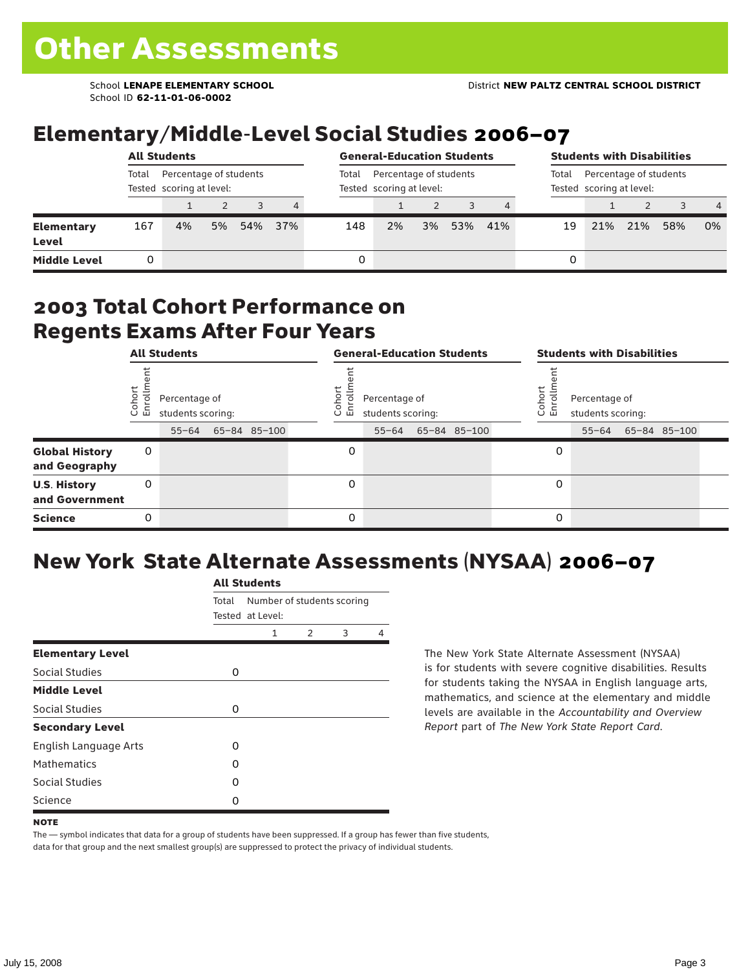School ID **62-11-01-06-0002**

## Elementary/Middle-Level Social Studies 2006–07

|                            | <b>All Students</b>                                         |    |    |     |                |                                                    | <b>General-Education Students</b> |    |     |     |                                                             |     | <b>Students with Disabilities</b> |     |                |  |  |  |
|----------------------------|-------------------------------------------------------------|----|----|-----|----------------|----------------------------------------------------|-----------------------------------|----|-----|-----|-------------------------------------------------------------|-----|-----------------------------------|-----|----------------|--|--|--|
|                            | Total<br>Percentage of students<br>Tested scoring at level: |    |    |     | Total          | Percentage of students<br>Tested scoring at level: |                                   |    |     |     | Percentage of students<br>Total<br>Tested scoring at level: |     |                                   |     |                |  |  |  |
|                            |                                                             |    |    |     | $\overline{4}$ |                                                    |                                   |    |     |     |                                                             |     |                                   |     | $\overline{4}$ |  |  |  |
| <b>Elementary</b><br>Level | 167                                                         | 4% | 5% | 54% | 37%            | 148                                                | 2%                                | 3% | 53% | 41% | 19                                                          | 21% | 21%                               | 58% | 0%             |  |  |  |
| <b>Middle Level</b>        |                                                             |    |    |     |                | 0                                                  |                                   |    |     |     | 0                                                           |     |                                   |     |                |  |  |  |

### 2003 Total Cohort Performance on Regents Exams After Four Years

|                                        | <b>All Students</b> |                                    |  |              | <b>General-Education Students</b> |                                    |  |              |  |                   | <b>Students with Disabilities</b>  |  |                    |  |  |
|----------------------------------------|---------------------|------------------------------------|--|--------------|-----------------------------------|------------------------------------|--|--------------|--|-------------------|------------------------------------|--|--------------------|--|--|
|                                        | Cohor<br>Enroll     | Percentage of<br>students scoring: |  |              | Coho<br>$\circ$<br>ᇛ              | Percentage of<br>students scoring: |  |              |  | Cohort<br>o,<br>문 | Percentage of<br>students scoring: |  |                    |  |  |
|                                        |                     | $55 - 64$                          |  | 65-84 85-100 |                                   | $55 - 64$                          |  | 65-84 85-100 |  |                   |                                    |  | 55-64 65-84 85-100 |  |  |
| <b>Global History</b><br>and Geography | 0                   |                                    |  |              | 0                                 |                                    |  |              |  | 0                 |                                    |  |                    |  |  |
| <b>U.S. History</b><br>and Government  | 0                   |                                    |  |              | $\Omega$                          |                                    |  |              |  | 0                 |                                    |  |                    |  |  |
| <b>Science</b>                         | 0                   |                                    |  |              | 0                                 |                                    |  |              |  | 0                 |                                    |  |                    |  |  |

## New York State Alternate Assessments (NYSAA) 2006–07

|                         | <b>All Students</b> |                            |               |   |   |  |  |  |  |  |  |
|-------------------------|---------------------|----------------------------|---------------|---|---|--|--|--|--|--|--|
|                         | Total               | Number of students scoring |               |   |   |  |  |  |  |  |  |
|                         |                     | Tested at Level:           |               |   |   |  |  |  |  |  |  |
|                         |                     | 1                          | $\mathcal{P}$ | 3 | 4 |  |  |  |  |  |  |
| <b>Elementary Level</b> |                     |                            |               |   |   |  |  |  |  |  |  |
| Social Studies          | 0                   |                            |               |   |   |  |  |  |  |  |  |
| <b>Middle Level</b>     |                     |                            |               |   |   |  |  |  |  |  |  |
| Social Studies          | 0                   |                            |               |   |   |  |  |  |  |  |  |
| <b>Secondary Level</b>  |                     |                            |               |   |   |  |  |  |  |  |  |
| English Language Arts   | O                   |                            |               |   |   |  |  |  |  |  |  |
| <b>Mathematics</b>      | O                   |                            |               |   |   |  |  |  |  |  |  |
| Social Studies          | O                   |                            |               |   |   |  |  |  |  |  |  |
| Science                 | O                   |                            |               |   |   |  |  |  |  |  |  |

The New York State Alternate Assessment (NYSAA) is for students with severe cognitive disabilities. Results for students taking the NYSAA in English language arts, mathematics, and science at the elementary and middle levels are available in the *Accountability and Overview Report* part of *The New York State Report Card*.

The — symbol indicates that data for a group of students have been suppressed. If a group has fewer than five students, data for that group and the next smallest group(s) are suppressed to protect the privacy of individual students.

**NOTE**